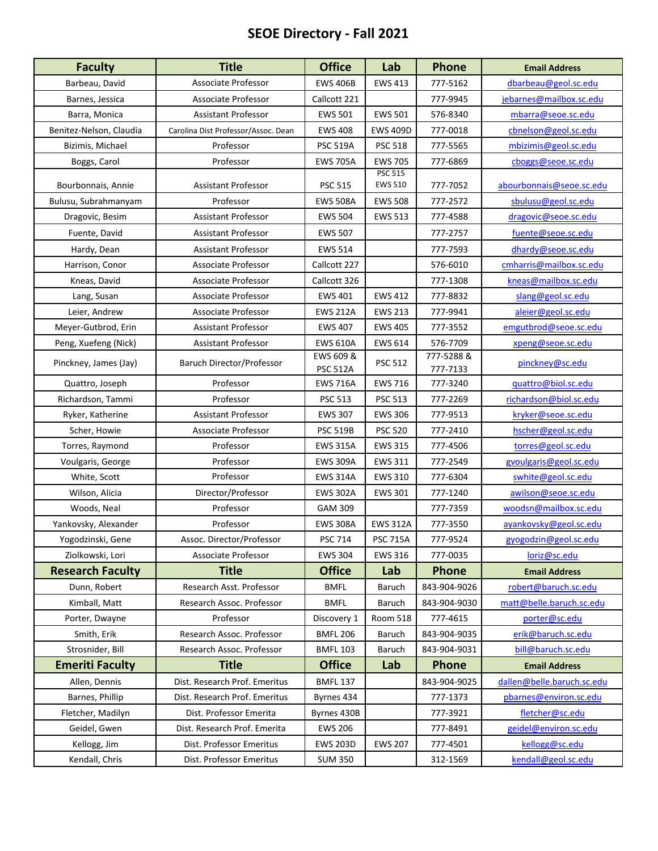## **SEOE Directory ‐ Fall 2021**

| <b>Faculty</b>          | <b>Title</b>                        | <b>Office</b>                | Lab                              | Phone                  | <b>Email Address</b>       |
|-------------------------|-------------------------------------|------------------------------|----------------------------------|------------------------|----------------------------|
| Barbeau, David          | Associate Professor                 | <b>EWS 406B</b>              | <b>EWS 413</b>                   | 777-5162               | dbarbeau@geol.sc.edu       |
| Barnes, Jessica         | Associate Professor                 | Callcott 221                 |                                  | 777-9945               | jebarnes@mailbox.sc.edu    |
| Barra, Monica           | Assistant Professor                 | <b>EWS 501</b>               | <b>EWS 501</b>                   | 576-8340               | mbarra@seoe.sc.edu         |
| Benitez-Nelson, Claudia | Carolina Dist Professor/Assoc. Dean | <b>EWS 408</b>               | <b>EWS 409D</b>                  | 777-0018               | cbnelson@geol.sc.edu       |
| Bizimis, Michael        | Professor                           | <b>PSC 519A</b>              | <b>PSC 518</b>                   | 777-5565               | mbizimis@geol.sc.edu       |
| Boggs, Carol            | Professor                           | <b>EWS 705A</b>              | <b>EWS 705</b>                   | 777-6869               | cboggs@seoe.sc.edu         |
| Bourbonnais, Annie      | <b>Assistant Professor</b>          | <b>PSC 515</b>               | <b>PSC 515</b><br><b>EWS 510</b> | 777-7052               | abourbonnais@seoe.sc.edu   |
| Bulusu, Subrahmanyam    | Professor                           | <b>EWS 508A</b>              | <b>EWS 508</b>                   | 777-2572               | sbulusu@geol.sc.edu        |
| Dragovic, Besim         | <b>Assistant Professor</b>          | <b>EWS 504</b>               | <b>EWS 513</b>                   | 777-4588               | dragovic@seoe.sc.edu       |
| Fuente, David           | <b>Assistant Professor</b>          | <b>EWS 507</b>               |                                  | 777-2757               | fuente@seoe.sc.edu         |
| Hardy, Dean             | <b>Assistant Professor</b>          | <b>EWS 514</b>               |                                  | 777-7593               | dhardy@seoe.sc.edu         |
| Harrison, Conor         | Associate Professor                 | Callcott 227                 |                                  | 576-6010               | cmharris@mailbox.sc.edu    |
| Kneas, David            | Associate Professor                 | Callcott 326                 |                                  | 777-1308               | kneas@mailbox.sc.edu       |
| Lang, Susan             | Associate Professor                 | <b>EWS 401</b>               | <b>EWS 412</b>                   | 777-8832               | slang@geol.sc.edu          |
| Leier, Andrew           | Associate Professor                 | <b>EWS 212A</b>              | <b>EWS 213</b>                   | 777-9941               | aleier@geol.sc.edu         |
| Meyer-Gutbrod, Erin     | <b>Assistant Professor</b>          | <b>EWS 407</b>               | <b>EWS 405</b>                   | 777-3552               | emgutbrod@seoe.sc.edu      |
| Peng, Xuefeng (Nick)    | <b>Assistant Professor</b>          | <b>EWS 610A</b>              | <b>EWS 614</b>                   | 576-7709               | xpeng@seoe.sc.edu          |
| Pinckney, James (Jay)   | Baruch Director/Professor           | EWS 609 &<br><b>PSC 512A</b> | <b>PSC 512</b>                   | 777-5288 &<br>777-7133 | pinckney@sc.edu            |
| Quattro, Joseph         | Professor                           | <b>EWS 716A</b>              | <b>EWS 716</b>                   | 777-3240               | guattro@biol.sc.edu        |
| Richardson, Tammi       | Professor                           | <b>PSC 513</b>               | <b>PSC 513</b>                   | 777-2269               | richardson@biol.sc.edu     |
| Ryker, Katherine        | <b>Assistant Professor</b>          | <b>EWS 307</b>               | <b>EWS 306</b>                   | 777-9513               | kryker@seoe.sc.edu         |
| Scher, Howie            | Associate Professor                 | <b>PSC 519B</b>              | <b>PSC 520</b>                   | 777-2410               | hscher@geol.sc.edu         |
| Torres, Raymond         | Professor                           | <b>EWS 315A</b>              | <b>EWS 315</b>                   | 777-4506               | torres@geol.sc.edu         |
| Voulgaris, George       | Professor                           | <b>EWS 309A</b>              | EWS 311                          | 777-2549               | gvoulgaris@geol.sc.edu     |
| White, Scott            | Professor                           | <b>EWS 314A</b>              | <b>EWS 310</b>                   | 777-6304               | swhite@geol.sc.edu         |
| Wilson, Alicia          | Director/Professor                  | <b>EWS 302A</b>              | <b>EWS 301</b>                   | 777-1240               | awilson@seoe.sc.edu        |
| Woods, Neal             | Professor                           | <b>GAM 309</b>               |                                  | 777-7359               | woodsn@mailbox.sc.edu      |
| Yankovsky, Alexander    | Professor                           | <b>EWS 308A</b>              | <b>EWS 312A</b>                  | 777-3550               | ayankovsky@geol.sc.edu     |
| Yogodzinski, Gene       | Assoc. Director/Professor           | PSC 714                      | <b>PSC 715A</b>                  | 777-9524               | gyogodzin@geol.sc.edu      |
| Ziolkowski, Lori        | Associate Professor                 | <b>EWS 304</b>               | <b>EWS 316</b>                   | 777-0035               | loriz@sc.edu               |
| <b>Research Faculty</b> | <b>Title</b>                        | <b>Office</b>                | Lab                              | <b>Phone</b>           | <b>Email Address</b>       |
| Dunn, Robert            | Research Asst. Professor            | <b>BMFL</b>                  | Baruch                           | 843-904-9026           | robert@baruch.sc.edu       |
| Kimball, Matt           | Research Assoc. Professor           | <b>BMFL</b>                  | Baruch                           | 843-904-9030           | matt@belle.baruch.sc.edu   |
| Porter, Dwayne          | Professor                           | Discovery 1                  | <b>Room 518</b>                  | 777-4615               | porter@sc.edu              |
| Smith, Erik             | Research Assoc. Professor           | <b>BMFL 206</b>              | Baruch                           | 843-904-9035           | erik@baruch.sc.edu         |
| Strosnider, Bill        | Research Assoc. Professor           | <b>BMFL 103</b>              | Baruch                           | 843-904-9031           | bill@baruch.sc.edu         |
| <b>Emeriti Faculty</b>  | <b>Title</b>                        | <b>Office</b>                | Lab                              | <b>Phone</b>           | <b>Email Address</b>       |
| Allen, Dennis           | Dist. Research Prof. Emeritus       | <b>BMFL 137</b>              |                                  | 843-904-9025           | dallen@belle.baruch.sc.edu |
| Barnes, Phillip         | Dist. Research Prof. Emeritus       | Byrnes 434                   |                                  | 777-1373               | pbarnes@environ.sc.edu     |
| Fletcher, Madilyn       | Dist. Professor Emerita             | Byrnes 430B                  |                                  | 777-3921               | fletcher@sc.edu            |
| Geidel, Gwen            | Dist. Research Prof. Emerita        | <b>EWS 206</b>               |                                  | 777-8491               | geidel@environ.sc.edu      |
| Kellogg, Jim            | Dist. Professor Emeritus            | <b>EWS 203D</b>              | <b>EWS 207</b>                   | 777-4501               | kellogg@sc.edu             |
| Kendall, Chris          | Dist. Professor Emeritus            | <b>SUM 350</b>               |                                  | 312-1569               | kendall@geol.sc.edu        |